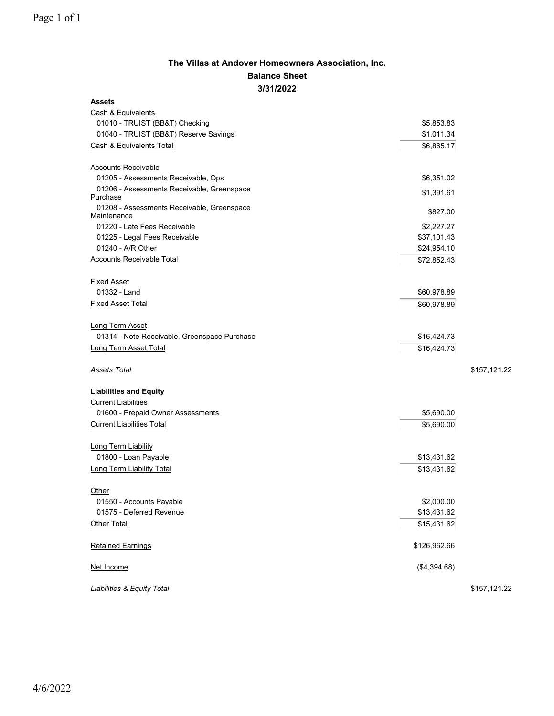## **The Villas at Andover Homeowners Association, Inc. Balance Sheet 3/31/2022**

| <b>Assets</b>                                             |              |              |
|-----------------------------------------------------------|--------------|--------------|
| Cash & Equivalents                                        |              |              |
| 01010 - TRUIST (BB&T) Checking                            | \$5,853.83   |              |
| 01040 - TRUIST (BB&T) Reserve Savings                     | \$1,011.34   |              |
| Cash & Equivalents Total                                  | \$6,865.17   |              |
|                                                           |              |              |
| <b>Accounts Receivable</b>                                |              |              |
| 01205 - Assessments Receivable, Ops                       | \$6,351.02   |              |
| 01206 - Assessments Receivable, Greenspace<br>Purchase    | \$1,391.61   |              |
| 01208 - Assessments Receivable, Greenspace<br>Maintenance | \$827.00     |              |
| 01220 - Late Fees Receivable                              | \$2,227.27   |              |
| 01225 - Legal Fees Receivable                             | \$37,101.43  |              |
| 01240 - A/R Other                                         | \$24,954.10  |              |
| <b>Accounts Receivable Total</b>                          | \$72,852.43  |              |
| <b>Fixed Asset</b>                                        |              |              |
| 01332 - Land                                              | \$60,978.89  |              |
| <b>Fixed Asset Total</b>                                  | \$60,978.89  |              |
|                                                           |              |              |
| <b>Long Term Asset</b>                                    |              |              |
| 01314 - Note Receivable, Greenspace Purchase              | \$16,424.73  |              |
| Long Term Asset Total                                     | \$16,424.73  |              |
|                                                           |              |              |
| Assets Total                                              |              | \$157,121.22 |
| <b>Liabilities and Equity</b>                             |              |              |
| <b>Current Liabilities</b>                                |              |              |
| 01600 - Prepaid Owner Assessments                         | \$5,690.00   |              |
| <b>Current Liabilities Total</b>                          | \$5,690.00   |              |
|                                                           |              |              |
| Long Term Liability                                       |              |              |
| 01800 - Loan Payable                                      | \$13,431.62  |              |
| <b>Long Term Liability Total</b>                          | \$13,431.62  |              |
| Other                                                     |              |              |
| 01550 - Accounts Payable                                  | \$2,000.00   |              |
| 01575 - Deferred Revenue                                  | \$13,431.62  |              |
| Other Total                                               | \$15,431.62  |              |
|                                                           |              |              |
| <b>Retained Earnings</b>                                  | \$126,962.66 |              |
|                                                           |              |              |
| Net Income                                                | (\$4,394.68) |              |
| Liabilities & Equity Total                                |              | \$157,121.22 |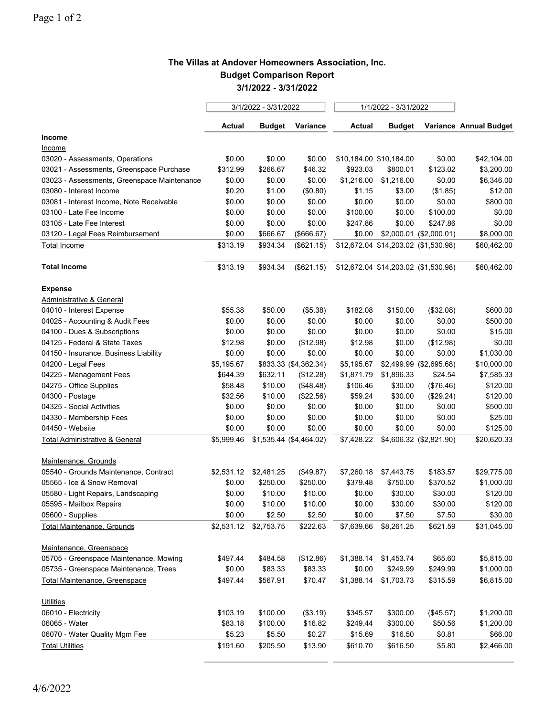## **The Villas at Andover Homeowners Association, Inc. Budget Comparison Report 3/1/2022 - 3/31/2022**

|                                             | 3/1/2022 - 3/31/2022 |               |                         | 1/1/2022 - 3/31/2022 |                                      |                         |                        |
|---------------------------------------------|----------------------|---------------|-------------------------|----------------------|--------------------------------------|-------------------------|------------------------|
|                                             | Actual               | <b>Budget</b> | Variance                | <b>Actual</b>        | <b>Budget</b>                        |                         | Variance Annual Budget |
| Income                                      |                      |               |                         |                      |                                      |                         |                        |
| <u>Income</u>                               |                      |               |                         |                      |                                      |                         |                        |
| 03020 - Assessments, Operations             | \$0.00               | \$0.00        | \$0.00                  |                      | \$10,184.00 \$10,184.00              | \$0.00                  | \$42,104.00            |
| 03021 - Assessments, Greenspace Purchase    | \$312.99             | \$266.67      | \$46.32                 | \$923.03             | \$800.01                             | \$123.02                | \$3,200.00             |
| 03023 - Assessments, Greenspace Maintenance | \$0.00               | \$0.00        | \$0.00                  | \$1,216.00           | \$1,216.00                           | \$0.00                  | \$6,346.00             |
| 03080 - Interest Income                     | \$0.20               | \$1.00        | (\$0.80)                | \$1.15               | \$3.00                               | (\$1.85)                | \$12.00                |
| 03081 - Interest Income, Note Receivable    | \$0.00               | \$0.00        | \$0.00                  | \$0.00               | \$0.00                               | \$0.00                  | \$800.00               |
| 03100 - Late Fee Income                     | \$0.00               | \$0.00        | \$0.00                  | \$100.00             | \$0.00                               | \$100.00                | \$0.00                 |
| 03105 - Late Fee Interest                   | \$0.00               | \$0.00        | \$0.00                  | \$247.86             | \$0.00                               | \$247.86                | \$0.00                 |
| 03120 - Legal Fees Reimbursement            | \$0.00               | \$666.67      | (\$666.67)              | \$0.00               |                                      | \$2,000.01 (\$2,000.01) | \$8,000.00             |
| <b>Total Income</b>                         | \$313.19             | \$934.34      | (\$621.15)              |                      | \$12,672.04 \$14,203.02 (\$1,530.98) |                         | \$60,462.00            |
| <b>Total Income</b>                         | \$313.19             | \$934.34      | (\$621.15)              |                      | \$12,672.04 \$14,203.02 (\$1,530.98) |                         | \$60,462.00            |
| <b>Expense</b>                              |                      |               |                         |                      |                                      |                         |                        |
| <b>Administrative &amp; General</b>         |                      |               |                         |                      |                                      |                         |                        |
| 04010 - Interest Expense                    | \$55.38              | \$50.00       | (\$5.38)                | \$182.08             | \$150.00                             | (\$32.08)               | \$600.00               |
| 04025 - Accounting & Audit Fees             | \$0.00               | \$0.00        | \$0.00                  | \$0.00               | \$0.00                               | \$0.00                  | \$500.00               |
| 04100 - Dues & Subscriptions                | \$0.00               | \$0.00        | \$0.00                  | \$0.00               | \$0.00                               | \$0.00                  | \$15.00                |
| 04125 - Federal & State Taxes               | \$12.98              | \$0.00        | (\$12.98)               | \$12.98              | \$0.00                               | (\$12.98)               | \$0.00                 |
| 04150 - Insurance, Business Liability       | \$0.00               | \$0.00        | \$0.00                  | \$0.00               | \$0.00                               | \$0.00                  | \$1,030.00             |
| 04200 - Legal Fees                          | \$5,195.67           |               | \$833.33 (\$4,362.34)   | \$5,195.67           |                                      | \$2,499.99 (\$2,695.68) | \$10,000.00            |
| 04225 - Management Fees                     | \$644.39             | \$632.11      | (\$12.28)               | \$1,871.79           | \$1,896.33                           | \$24.54                 | \$7,585.33             |
| 04275 - Office Supplies                     | \$58.48              | \$10.00       | (\$48.48)               | \$106.46             | \$30.00                              | (\$76.46)               | \$120.00               |
| 04300 - Postage                             | \$32.56              | \$10.00       | (\$22.56)               | \$59.24              | \$30.00                              | (\$29.24)               | \$120.00               |
| 04325 - Social Activities                   | \$0.00               | \$0.00        | \$0.00                  | \$0.00               | \$0.00                               | \$0.00                  | \$500.00               |
| 04330 - Membership Fees                     | \$0.00               | \$0.00        | \$0.00                  | \$0.00               | \$0.00                               | \$0.00                  | \$25.00                |
| 04450 - Website                             | \$0.00               | \$0.00        | \$0.00                  | \$0.00               | \$0.00                               | \$0.00                  | \$125.00               |
| <b>Total Administrative &amp; General</b>   | \$5,999.46           |               | \$1,535.44 (\$4,464.02) | \$7,428.22           |                                      | \$4,606.32 (\$2,821.90) | \$20,620.33            |
| Maintenance, Grounds                        |                      |               |                         |                      |                                      |                         |                        |
| 05540 - Grounds Maintenance, Contract       | \$2,531.12           | \$2,481.25    | (\$49.87)               | \$7,260.18           | \$7,443.75                           | \$183.57                | \$29,775.00            |
| 05565 - Ice & Snow Removal                  | \$0.00               | \$250.00      | \$250.00                | \$379.48             | \$750.00                             | \$370.52                | \$1,000.00             |
| 05580 - Light Repairs, Landscaping          | \$0.00               | \$10.00       | \$10.00                 | \$0.00               | \$30.00                              | \$30.00                 | \$120.00               |
| 05595 - Mailbox Repairs                     | \$0.00               | \$10.00       | \$10.00                 | \$0.00               | \$30.00                              | \$30.00                 | \$120.00               |
| 05600 - Supplies                            | \$0.00               | \$2.50        | \$2.50                  | \$0.00               | \$7.50                               | \$7.50                  | \$30.00                |
| <b>Total Maintenance, Grounds</b>           | \$2,531.12           | \$2,753.75    | \$222.63                | \$7,639.66           | \$8,261.25                           | \$621.59                | \$31,045.00            |
| Maintenance, Greenspace                     |                      |               |                         |                      |                                      |                         |                        |
| 05705 - Greenspace Maintenance, Mowing      | \$497.44             | \$484.58      | (\$12.86)               | \$1,388.14           | \$1,453.74                           | \$65.60                 | \$5,815.00             |
| 05735 - Greenspace Maintenance, Trees       | \$0.00               | \$83.33       | \$83.33                 | \$0.00               | \$249.99                             | \$249.99                | \$1,000.00             |
| Total Maintenance, Greenspace               | \$497.44             | \$567.91      | \$70.47                 | \$1,388.14           | \$1,703.73                           | \$315.59                | \$6,815.00             |
| <b>Utilities</b>                            |                      |               |                         |                      |                                      |                         |                        |
| 06010 - Electricity                         | \$103.19             | \$100.00      | (\$3.19)                | \$345.57             | \$300.00                             | (\$45.57)               | \$1,200.00             |
| 06065 - Water                               | \$83.18              | \$100.00      | \$16.82                 | \$249.44             | \$300.00                             | \$50.56                 | \$1,200.00             |
| 06070 - Water Quality Mgm Fee               | \$5.23               | \$5.50        | \$0.27                  | \$15.69              | \$16.50                              | \$0.81                  | \$66.00                |
|                                             |                      |               |                         |                      |                                      |                         |                        |
| <b>Total Utilities</b>                      | \$191.60             | \$205.50      | \$13.90                 | \$610.70             | \$616.50                             | \$5.80                  | \$2,466.00             |